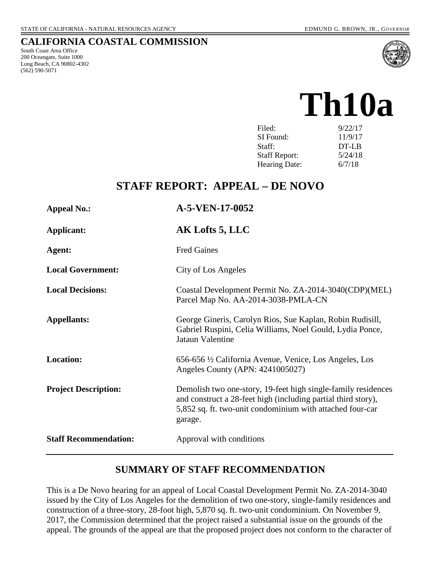### **CALIFORNIA COASTAL COMMISSION**

South Coast Area Office 200 Oceangate, Suite 1000 Long Beach, CA 90802-4302 (562) 590-5071



**Th10a** 

| Filed:               | 9/22/17 |
|----------------------|---------|
| SI Found:            | 11/9/17 |
| Staff:               | DT-LB   |
| <b>Staff Report:</b> | 5/24/18 |
| <b>Hearing Date:</b> | 6/7/18  |

# **STAFF REPORT: APPEAL – DE NOVO**

| <b>Appeal No.:</b>           | A-5-VEN-17-0052                                                                                                                                                                                        |
|------------------------------|--------------------------------------------------------------------------------------------------------------------------------------------------------------------------------------------------------|
| Applicant:                   | AK Lofts 5, LLC                                                                                                                                                                                        |
| Agent:                       | <b>Fred Gaines</b>                                                                                                                                                                                     |
| <b>Local Government:</b>     | City of Los Angeles                                                                                                                                                                                    |
| <b>Local Decisions:</b>      | Coastal Development Permit No. ZA-2014-3040(CDP)(MEL)<br>Parcel Map No. AA-2014-3038-PMLA-CN                                                                                                           |
| <b>Appellants:</b>           | George Gineris, Carolyn Rios, Sue Kaplan, Robin Rudisill,<br>Gabriel Ruspini, Celia Williams, Noel Gould, Lydia Ponce,<br>Jataun Valentine                                                             |
| <b>Location:</b>             | 656-656 ½ California Avenue, Venice, Los Angeles, Los<br>Angeles County (APN: 4241005027)                                                                                                              |
| <b>Project Description:</b>  | Demolish two one-story, 19-feet high single-family residences<br>and construct a 28-feet high (including partial third story),<br>5,852 sq. ft. two-unit condominium with attached four-car<br>garage. |
| <b>Staff Recommendation:</b> | Approval with conditions                                                                                                                                                                               |

### **SUMMARY OF STAFF RECOMMENDATION**

This is a De Novo hearing for an appeal of Local Coastal Development Permit No. ZA-2014-3040 issued by the City of Los Angeles for the demolition of two one-story, single-family residences and construction of a three-story, 28-foot high, 5,870 sq. ft. two-unit condominium. On November 9, 2017, the Commission determined that the project raised a substantial issue on the grounds of the appeal. The grounds of the appeal are that the proposed project does not conform to the character of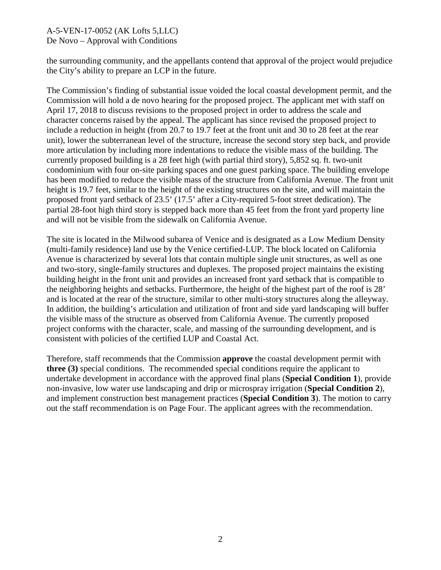the surrounding community, and the appellants contend that approval of the project would prejudice the City's ability to prepare an LCP in the future.

The Commission's finding of substantial issue voided the local coastal development permit, and the Commission will hold a de novo hearing for the proposed project. The applicant met with staff on April 17, 2018 to discuss revisions to the proposed project in order to address the scale and character concerns raised by the appeal. The applicant has since revised the proposed project to include a reduction in height (from 20.7 to 19.7 feet at the front unit and 30 to 28 feet at the rear unit), lower the subterranean level of the structure, increase the second story step back, and provide more articulation by including more indentations to reduce the visible mass of the building. The currently proposed building is a 28 feet high (with partial third story), 5,852 sq. ft. two-unit condominium with four on-site parking spaces and one guest parking space. The building envelope has been modified to reduce the visible mass of the structure from California Avenue. The front unit height is 19.7 feet, similar to the height of the existing structures on the site, and will maintain the proposed front yard setback of 23.5' (17.5' after a City-required 5-foot street dedication). The partial 28-foot high third story is stepped back more than 45 feet from the front yard property line and will not be visible from the sidewalk on California Avenue.

The site is located in the Milwood subarea of Venice and is designated as a Low Medium Density (multi-family residence) land use by the Venice certified-LUP. The block located on California Avenue is characterized by several lots that contain multiple single unit structures, as well as one and two-story, single-family structures and duplexes. The proposed project maintains the existing building height in the front unit and provides an increased front yard setback that is compatible to the neighboring heights and setbacks. Furthermore, the height of the highest part of the roof is 28' and is located at the rear of the structure, similar to other multi-story structures along the alleyway. In addition, the building's articulation and utilization of front and side yard landscaping will buffer the visible mass of the structure as observed from California Avenue. The currently proposed project conforms with the character, scale, and massing of the surrounding development, and is consistent with policies of the certified LUP and Coastal Act.

Therefore, staff recommends that the Commission **approve** the coastal development permit with **three (3)** special conditions. The recommended special conditions require the applicant to undertake development in accordance with the approved final plans (**Special Condition 1**), provide non-invasive, low water use landscaping and drip or microspray irrigation (**Special Condition 2**), and implement construction best management practices (**Special Condition 3**). The motion to carry out the staff recommendation is on Page Four. The applicant agrees with the recommendation.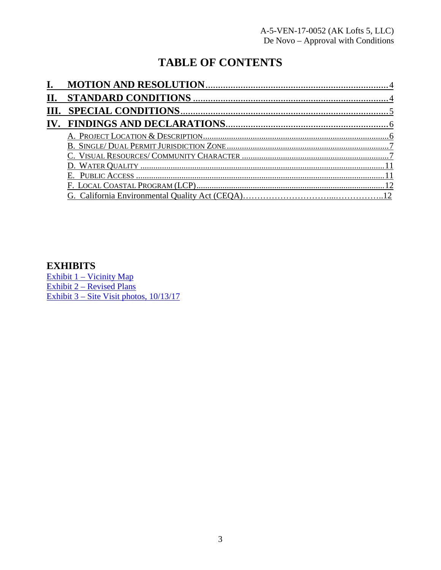# **TABLE OF CONTENTS**

| П. |  |
|----|--|
|    |  |
|    |  |
|    |  |
|    |  |
|    |  |
|    |  |
|    |  |
|    |  |
|    |  |

### **EXHIBITS**

[Exhibit 1 – Vicinity Map](https://documents.coastal.ca.gov/reports/2018/6/Th10a/Th10a-6-2018-exhibits.pdf) [Exhibit 2 – Revised Plans](https://documents.coastal.ca.gov/reports/2018/6/Th10a/Th10a-6-2018-exhibits.pdf) [Exhibit 3 – Site Visit photos, 10/13/17](https://documents.coastal.ca.gov/reports/2018/6/Th10a/Th10a-6-2018-exhibits.pdf)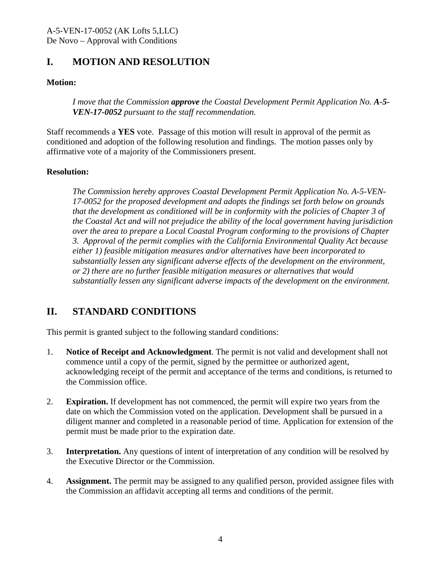## <span id="page-3-0"></span>**I. MOTION AND RESOLUTION**

### **Motion:**

*I move that the Commission approve the Coastal Development Permit Application No. A-5- VEN-17-0052 pursuant to the staff recommendation.*

Staff recommends a **YES** vote. Passage of this motion will result in approval of the permit as conditioned and adoption of the following resolution and findings. The motion passes only by affirmative vote of a majority of the Commissioners present.

#### **Resolution:**

*The Commission hereby approves Coastal Development Permit Application No. A-5-VEN-17-0052 for the proposed development and adopts the findings set forth below on grounds that the development as conditioned will be in conformity with the policies of Chapter 3 of the Coastal Act and will not prejudice the ability of the local government having jurisdiction over the area to prepare a Local Coastal Program conforming to the provisions of Chapter 3. Approval of the permit complies with the California Environmental Quality Act because either 1) feasible mitigation measures and/or alternatives have been incorporated to substantially lessen any significant adverse effects of the development on the environment, or 2) there are no further feasible mitigation measures or alternatives that would substantially lessen any significant adverse impacts of the development on the environment.* 

# <span id="page-3-1"></span>**II. STANDARD CONDITIONS**

This permit is granted subject to the following standard conditions:

- 1. **Notice of Receipt and Acknowledgment**. The permit is not valid and development shall not commence until a copy of the permit, signed by the permittee or authorized agent, acknowledging receipt of the permit and acceptance of the terms and conditions, is returned to the Commission office.
- 2. **Expiration.** If development has not commenced, the permit will expire two years from the date on which the Commission voted on the application. Development shall be pursued in a diligent manner and completed in a reasonable period of time. Application for extension of the permit must be made prior to the expiration date.
- 3. **Interpretation.** Any questions of intent of interpretation of any condition will be resolved by the Executive Director or the Commission.
- 4. **Assignment.** The permit may be assigned to any qualified person, provided assignee files with the Commission an affidavit accepting all terms and conditions of the permit.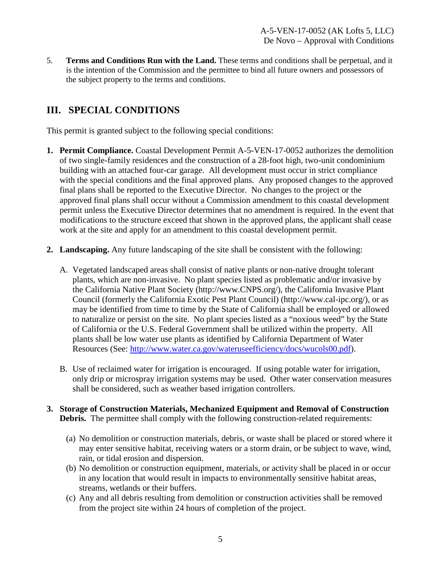5. **Terms and Conditions Run with the Land.** These terms and conditions shall be perpetual, and it is the intention of the Commission and the permittee to bind all future owners and possessors of the subject property to the terms and conditions.

# <span id="page-4-0"></span>**III. SPECIAL CONDITIONS**

This permit is granted subject to the following special conditions:

- **1. Permit Compliance.** Coastal Development Permit A-5-VEN-17-0052 authorizes the demolition of two single-family residences and the construction of a 28-foot high, two-unit condominium building with an attached four-car garage. All development must occur in strict compliance with the special conditions and the final approved plans. Any proposed changes to the approved final plans shall be reported to the Executive Director. No changes to the project or the approved final plans shall occur without a Commission amendment to this coastal development permit unless the Executive Director determines that no amendment is required. In the event that modifications to the structure exceed that shown in the approved plans, the applicant shall cease work at the site and apply for an amendment to this coastal development permit.
- **2. Landscaping.** Any future landscaping of the site shall be consistent with the following:
	- A. Vegetated landscaped areas shall consist of native plants or non-native drought tolerant plants, which are non-invasive. No plant species listed as problematic and/or invasive by the California Native Plant Society (http://www.CNPS.org/), the California Invasive Plant Council (formerly the California Exotic Pest Plant Council) (http://www.cal-ipc.org/), or as may be identified from time to time by the State of California shall be employed or allowed to naturalize or persist on the site. No plant species listed as a "noxious weed" by the State of California or the U.S. Federal Government shall be utilized within the property. All plants shall be low water use plants as identified by California Department of Water Resources (See: [http://www.water.ca.gov/wateruseefficiency/docs/wucols00.pdf\)](http://www.water.ca.gov/wateruseefficiency/docs/wucols00.pdf).
	- B. Use of reclaimed water for irrigation is encouraged. If using potable water for irrigation, only drip or microspray irrigation systems may be used. Other water conservation measures shall be considered, such as weather based irrigation controllers.
- **3. Storage of Construction Materials, Mechanized Equipment and Removal of Construction Debris.** The permittee shall comply with the following construction-related requirements:
	- (a) No demolition or construction materials, debris, or waste shall be placed or stored where it may enter sensitive habitat, receiving waters or a storm drain, or be subject to wave, wind, rain, or tidal erosion and dispersion.
	- (b) No demolition or construction equipment, materials, or activity shall be placed in or occur in any location that would result in impacts to environmentally sensitive habitat areas, streams, wetlands or their buffers.
	- (c) Any and all debris resulting from demolition or construction activities shall be removed from the project site within 24 hours of completion of the project.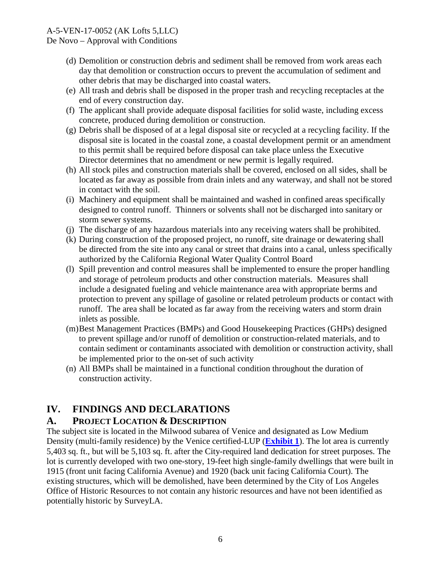### A-5-VEN-17-0052 (AK Lofts 5,LLC)

De Novo – Approval with Conditions

- (d) Demolition or construction debris and sediment shall be removed from work areas each day that demolition or construction occurs to prevent the accumulation of sediment and other debris that may be discharged into coastal waters.
- (e) All trash and debris shall be disposed in the proper trash and recycling receptacles at the end of every construction day.
- (f) The applicant shall provide adequate disposal facilities for solid waste, including excess concrete, produced during demolition or construction.
- (g) Debris shall be disposed of at a legal disposal site or recycled at a recycling facility. If the disposal site is located in the coastal zone, a coastal development permit or an amendment to this permit shall be required before disposal can take place unless the Executive Director determines that no amendment or new permit is legally required.
- (h) All stock piles and construction materials shall be covered, enclosed on all sides, shall be located as far away as possible from drain inlets and any waterway, and shall not be stored in contact with the soil.
- (i) Machinery and equipment shall be maintained and washed in confined areas specifically designed to control runoff. Thinners or solvents shall not be discharged into sanitary or storm sewer systems.
- (j) The discharge of any hazardous materials into any receiving waters shall be prohibited.
- (k) During construction of the proposed project, no runoff, site drainage or dewatering shall be directed from the site into any canal or street that drains into a canal, unless specifically authorized by the California Regional Water Quality Control Board
- (l) Spill prevention and control measures shall be implemented to ensure the proper handling and storage of petroleum products and other construction materials. Measures shall include a designated fueling and vehicle maintenance area with appropriate berms and protection to prevent any spillage of gasoline or related petroleum products or contact with runoff. The area shall be located as far away from the receiving waters and storm drain inlets as possible.
- (m) Best Management Practices (BMPs) and Good Housekeeping Practices (GHPs) designed to prevent spillage and/or runoff of demolition or construction-related materials, and to contain sediment or contaminants associated with demolition or construction activity, shall be implemented prior to the on-set of such activity
- (n) All BMPs shall be maintained in a functional condition throughout the duration of construction activity.

# <span id="page-5-0"></span>**IV. FINDINGS AND DECLARATIONS**

### <span id="page-5-1"></span>**A. PROJECT LOCATION & DESCRIPTION**

The subject site is located in the Milwood subarea of Venice and designated as Low Medium Density (multi-family residence) by the Venice certified-LUP (**[Exhibit 1](https://documents.coastal.ca.gov/reports/2018/6/Th10a/Th10a-6-2018-exhibits.pdf)**). The lot area is currently 5,403 sq. ft., but will be 5,103 sq. ft. after the City-required land dedication for street purposes. The lot is currently developed with two one-story, 19-feet high single-family dwellings that were built in 1915 (front unit facing California Avenue) and 1920 (back unit facing California Court). The existing structures, which will be demolished, have been determined by the City of Los Angeles Office of Historic Resources to not contain any historic resources and have not been identified as potentially historic by SurveyLA.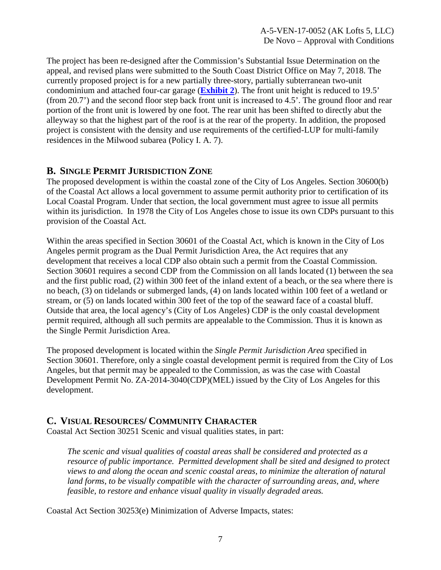The project has been re-designed after the Commission's Substantial Issue Determination on the appeal, and revised plans were submitted to the South Coast District Office on May 7, 2018. The currently proposed project is for a new partially three-story, partially subterranean two-unit condominium and attached four-car garage (**[Exhibit 2](https://documents.coastal.ca.gov/reports/2018/6/Th10a/Th10a-6-2018-exhibits.pdf)**). The front unit height is reduced to 19.5' (from 20.7') and the second floor step back front unit is increased to 4.5'. The ground floor and rear portion of the front unit is lowered by one foot. The rear unit has been shifted to directly abut the alleyway so that the highest part of the roof is at the rear of the property. In addition, the proposed project is consistent with the density and use requirements of the certified-LUP for multi-family residences in the Milwood subarea (Policy I. A. 7).

### <span id="page-6-0"></span>**B. SINGLE PERMIT JURISDICTION ZONE**

The proposed development is within the coastal zone of the City of Los Angeles. Section 30600(b) of the Coastal Act allows a local government to assume permit authority prior to certification of its Local Coastal Program. Under that section, the local government must agree to issue all permits within its jurisdiction. In 1978 the City of Los Angeles chose to issue its own CDPs pursuant to this provision of the Coastal Act.

Within the areas specified in Section 30601 of the Coastal Act, which is known in the City of Los Angeles permit program as the Dual Permit Jurisdiction Area, the Act requires that any development that receives a local CDP also obtain such a permit from the Coastal Commission. Section 30601 requires a second CDP from the Commission on all lands located (1) between the sea and the first public road, (2) within 300 feet of the inland extent of a beach, or the sea where there is no beach, (3) on tidelands or submerged lands, (4) on lands located within 100 feet of a wetland or stream, or (5) on lands located within 300 feet of the top of the seaward face of a coastal bluff. Outside that area, the local agency's (City of Los Angeles) CDP is the only coastal development permit required, although all such permits are appealable to the Commission. Thus it is known as the Single Permit Jurisdiction Area.

The proposed development is located within the *Single Permit Jurisdiction Area* specified in Section 30601. Therefore, only a single coastal development permit is required from the City of Los Angeles, but that permit may be appealed to the Commission, as was the case with Coastal Development Permit No. ZA-2014-3040(CDP)(MEL) issued by the City of Los Angeles for this development.

### <span id="page-6-1"></span>**C. VISUAL RESOURCES/ COMMUNITY CHARACTER**

Coastal Act Section 30251 Scenic and visual qualities states, in part:

*The scenic and visual qualities of coastal areas shall be considered and protected as a resource of public importance. Permitted development shall be sited and designed to protect views to and along the ocean and scenic coastal areas, to minimize the alteration of natural*  land forms, to be visually compatible with the character of surrounding areas, and, where *feasible, to restore and enhance visual quality in visually degraded areas.*

Coastal Act Section 30253(e) Minimization of Adverse Impacts, states: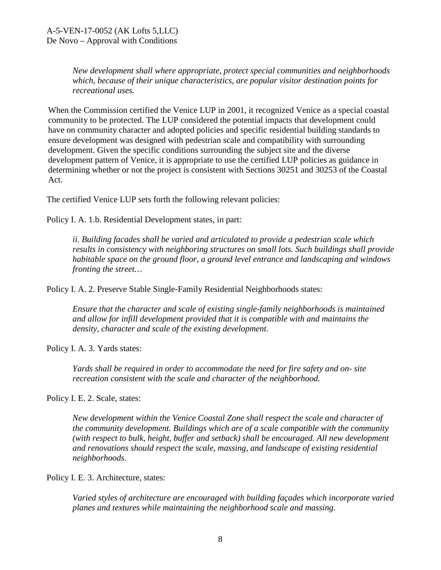*New development shall where appropriate, protect special communities and neighborhoods which, because of their unique characteristics, are popular visitor destination points for recreational uses.* 

When the Commission certified the Venice LUP in 2001, it recognized Venice as a special coastal community to be protected. The LUP considered the potential impacts that development could have on community character and adopted policies and specific residential building standards to ensure development was designed with pedestrian scale and compatibility with surrounding development. Given the specific conditions surrounding the subject site and the diverse development pattern of Venice, it is appropriate to use the certified LUP policies as guidance in determining whether or not the project is consistent with Sections 30251 and 30253 of the Coastal Act.

The certified Venice LUP sets forth the following relevant policies:

Policy I. A. 1.b. Residential Development states, in part:

*ii. Building facades shall be varied and articulated to provide a pedestrian scale which results in consistency with neighboring structures on small lots. Such buildings shall provide habitable space on the ground floor, a ground level entrance and landscaping and windows fronting the street…*

Policy I. A. 2. Preserve Stable Single-Family Residential Neighborhoods states:

*Ensure that the character and scale of existing single-family neighborhoods is maintained and allow for infill development provided that it is compatible with and maintains the density, character and scale of the existing development.*

Policy I. A. 3. Yards states:

*Yards shall be required in order to accommodate the need for fire safety and on- site recreation consistent with the scale and character of the neighborhood.*

Policy I. E. 2. Scale, states:

*New development within the Venice Coastal Zone shall respect the scale and character of the community development. Buildings which are of a scale compatible with the community (with respect to bulk, height, buffer and setback) shall be encouraged. All new development and renovations should respect the scale, massing, and landscape of existing residential neighborhoods.*

Policy I. E. 3. Architecture, states:

*Varied styles of architecture are encouraged with building façades which incorporate varied planes and textures while maintaining the neighborhood scale and massing.*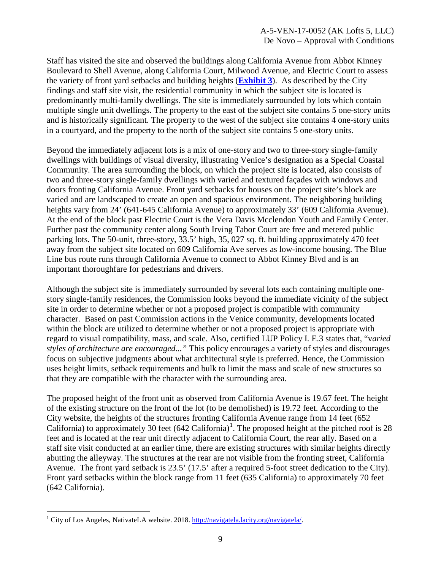Staff has visited the site and observed the buildings along California Avenue from Abbot Kinney Boulevard to Shell Avenue, along California Court, Milwood Avenue, and Electric Court to assess the variety of front yard setbacks and building heights (**[Exhibit 3](https://documents.coastal.ca.gov/reports/2018/6/Th10a/Th10a-6-2018-exhibits.pdf)**). As described by the City findings and staff site visit, the residential community in which the subject site is located is predominantly multi-family dwellings. The site is immediately surrounded by lots which contain multiple single unit dwellings. The property to the east of the subject site contains 5 one-story units and is historically significant. The property to the west of the subject site contains 4 one-story units in a courtyard, and the property to the north of the subject site contains 5 one-story units.

Beyond the immediately adjacent lots is a mix of one-story and two to three-story single-family dwellings with buildings of visual diversity, illustrating Venice's designation as a Special Coastal Community. The area surrounding the block, on which the project site is located, also consists of two and three-story single-family dwellings with varied and textured façades with windows and doors fronting California Avenue. Front yard setbacks for houses on the project site's block are varied and are landscaped to create an open and spacious environment. The neighboring building heights vary from 24' (641-645 California Avenue) to approximately 33' (609 California Avenue). At the end of the block past Electric Court is the Vera Davis Mcclendon Youth and Family Center. Further past the community center along South Irving Tabor Court are free and metered public parking lots. The 50-unit, three-story, 33.5' high, 35, 027 sq. ft. building approximately 470 feet away from the subject site located on 609 California Ave serves as low-income housing. The Blue Line bus route runs through California Avenue to connect to Abbot Kinney Blvd and is an important thoroughfare for pedestrians and drivers.

Although the subject site is immediately surrounded by several lots each containing multiple onestory single-family residences, the Commission looks beyond the immediate vicinity of the subject site in order to determine whether or not a proposed project is compatible with community character. Based on past Commission actions in the Venice community, developments located within the block are utilized to determine whether or not a proposed project is appropriate with regard to visual compatibility, mass, and scale. Also, certified LUP Policy I. E.3 states that, "v*aried styles of architecture are encouraged..."* This policy encourages a variety of styles and discourages focus on subjective judgments about what architectural style is preferred. Hence, the Commission uses height limits, setback requirements and bulk to limit the mass and scale of new structures so that they are compatible with the character with the surrounding area.

The proposed height of the front unit as observed from California Avenue is 19.67 feet. The height of the existing structure on the front of the lot (to be demolished) is 19.72 feet. According to the City website, the heights of the structures fronting California Avenue range from 14 feet (652 California) to approximately 30 feet  $(642 \text{ California})^1$  $(642 \text{ California})^1$ . The proposed height at the pitched roof is 28 feet and is located at the rear unit directly adjacent to California Court, the rear ally. Based on a staff site visit conducted at an earlier time, there are existing structures with similar heights directly abutting the alleyway. The structures at the rear are not visible from the fronting street, California Avenue. The front yard setback is 23.5' (17.5' after a required 5-foot street dedication to the City). Front yard setbacks within the block range from 11 feet (635 California) to approximately 70 feet (642 California).

 $\overline{a}$ 

<span id="page-8-0"></span><sup>&</sup>lt;sup>1</sup> City of Los Angeles, NativateLA website. 2018[. http://navigatela.lacity.org/navigatela/.](http://navigatela.lacity.org/navigatela/)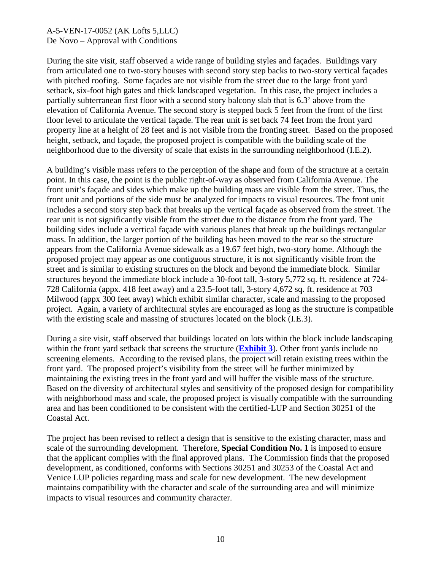During the site visit, staff observed a wide range of building styles and façades. Buildings vary from articulated one to two-story houses with second story step backs to two-story vertical façades with pitched roofing. Some façades are not visible from the street due to the large front yard setback, six-foot high gates and thick landscaped vegetation. In this case, the project includes a partially subterranean first floor with a second story balcony slab that is 6.3' above from the elevation of California Avenue. The second story is stepped back 5 feet from the front of the first floor level to articulate the vertical façade. The rear unit is set back 74 feet from the front yard property line at a height of 28 feet and is not visible from the fronting street. Based on the proposed height, setback, and façade, the proposed project is compatible with the building scale of the neighborhood due to the diversity of scale that exists in the surrounding neighborhood (I.E.2).

A building's visible mass refers to the perception of the shape and form of the structure at a certain point. In this case, the point is the public right-of-way as observed from California Avenue. The front unit's façade and sides which make up the building mass are visible from the street. Thus, the front unit and portions of the side must be analyzed for impacts to visual resources. The front unit includes a second story step back that breaks up the vertical façade as observed from the street. The rear unit is not significantly visible from the street due to the distance from the front yard. The building sides include a vertical façade with various planes that break up the buildings rectangular mass. In addition, the larger portion of the building has been moved to the rear so the structure appears from the California Avenue sidewalk as a 19.67 feet high, two-story home. Although the proposed project may appear as one contiguous structure, it is not significantly visible from the street and is similar to existing structures on the block and beyond the immediate block. Similar structures beyond the immediate block include a 30-foot tall, 3-story 5,772 sq. ft. residence at 724- 728 California (appx. 418 feet away) and a 23.5-foot tall, 3-story 4,672 sq. ft. residence at 703 Milwood (appx 300 feet away) which exhibit similar character, scale and massing to the proposed project. Again, a variety of architectural styles are encouraged as long as the structure is compatible with the existing scale and massing of structures located on the block (I.E.3).

During a site visit, staff observed that buildings located on lots within the block include landscaping within the front yard setback that screens the structure (**[Exhibit 3](https://documents.coastal.ca.gov/reports/2018/6/Th10a/Th10a-6-2018-exhibits.pdf)**). Other front yards include no screening elements. According to the revised plans, the project will retain existing trees within the front yard. The proposed project's visibility from the street will be further minimized by maintaining the existing trees in the front yard and will buffer the visible mass of the structure. Based on the diversity of architectural styles and sensitivity of the proposed design for compatibility with neighborhood mass and scale, the proposed project is visually compatible with the surrounding area and has been conditioned to be consistent with the certified-LUP and Section 30251 of the Coastal Act.

The project has been revised to reflect a design that is sensitive to the existing character, mass and scale of the surrounding development. Therefore, **Special Condition No. 1** is imposed to ensure that the applicant complies with the final approved plans. The Commission finds that the proposed development, as conditioned, conforms with Sections 30251 and 30253 of the Coastal Act and Venice LUP policies regarding mass and scale for new development. The new development maintains compatibility with the character and scale of the surrounding area and will minimize impacts to visual resources and community character.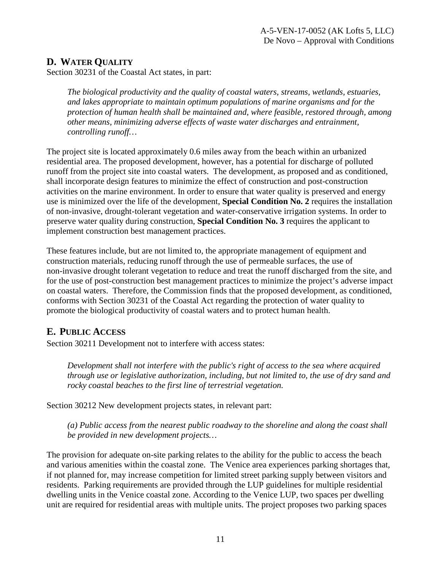# <span id="page-10-0"></span>**D. WATER QUALITY**

Section 30231 of the Coastal Act states, in part:

*The biological productivity and the quality of coastal waters, streams, wetlands, estuaries, and lakes appropriate to maintain optimum populations of marine organisms and for the protection of human health shall be maintained and, where feasible, restored through, among other means, minimizing adverse effects of waste water discharges and entrainment, controlling runoff…*

The project site is located approximately 0.6 miles away from the beach within an urbanized residential area. The proposed development, however, has a potential for discharge of polluted runoff from the project site into coastal waters. The development, as proposed and as conditioned, shall incorporate design features to minimize the effect of construction and post-construction activities on the marine environment. In order to ensure that water quality is preserved and energy use is minimized over the life of the development, **Special Condition No. 2** requires the installation of non-invasive, drought-tolerant vegetation and water-conservative irrigation systems. In order to preserve water quality during construction, **Special Condition No. 3** requires the applicant to implement construction best management practices.

These features include, but are not limited to, the appropriate management of equipment and construction materials, reducing runoff through the use of permeable surfaces, the use of non-invasive drought tolerant vegetation to reduce and treat the runoff discharged from the site, and for the use of post-construction best management practices to minimize the project's adverse impact on coastal waters. Therefore, the Commission finds that the proposed development, as conditioned, conforms with Section 30231 of the Coastal Act regarding the protection of water quality to promote the biological productivity of coastal waters and to protect human health.

# <span id="page-10-1"></span>**E. PUBLIC ACCESS**

Section 30211 Development not to interfere with access states:

*Development shall not interfere with the public's right of access to the sea where acquired through use or legislative authorization, including, but not limited to, the use of dry sand and rocky coastal beaches to the first line of terrestrial vegetation.* 

Section 30212 New development projects states, in relevant part:

*(a) Public access from the nearest public roadway to the shoreline and along the coast shall be provided in new development projects…*

The provision for adequate on-site parking relates to the ability for the public to access the beach and various amenities within the coastal zone. The Venice area experiences parking shortages that, if not planned for, may increase competition for limited street parking supply between visitors and residents. Parking requirements are provided through the LUP guidelines for multiple residential dwelling units in the Venice coastal zone. According to the Venice LUP, two spaces per dwelling unit are required for residential areas with multiple units. The project proposes two parking spaces